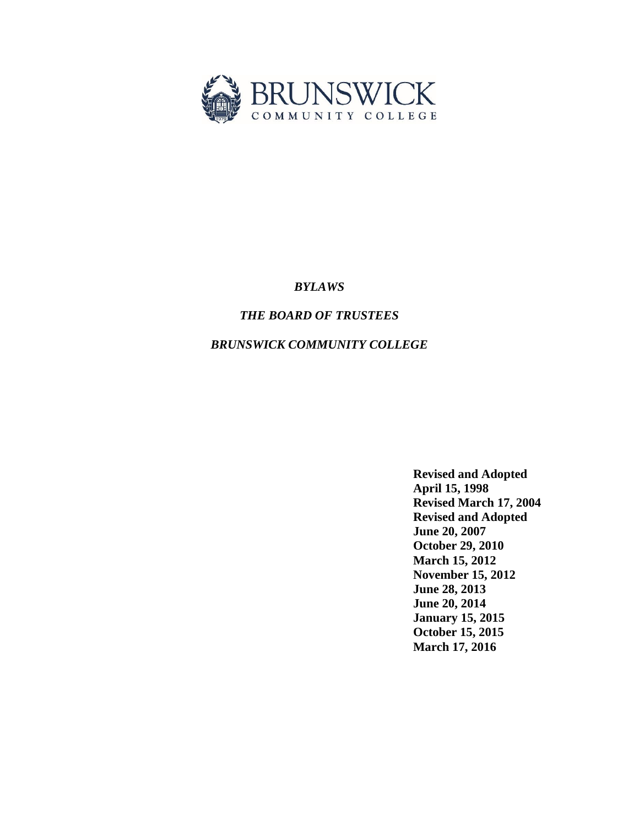

# *BYLAWS*

# *THE BOARD OF TRUSTEES*

# *BRUNSWICK COMMUNITY COLLEGE*

**Revised and Adopted April 15, 1998 Revised March 17, 2004 Revised and Adopted June 20, 2007 October 29, 2010 March 15, 2012 November 15, 2012 June 28, 2013 June 20, 2014 January 15, 2015 October 15, 2015 March 17, 2016**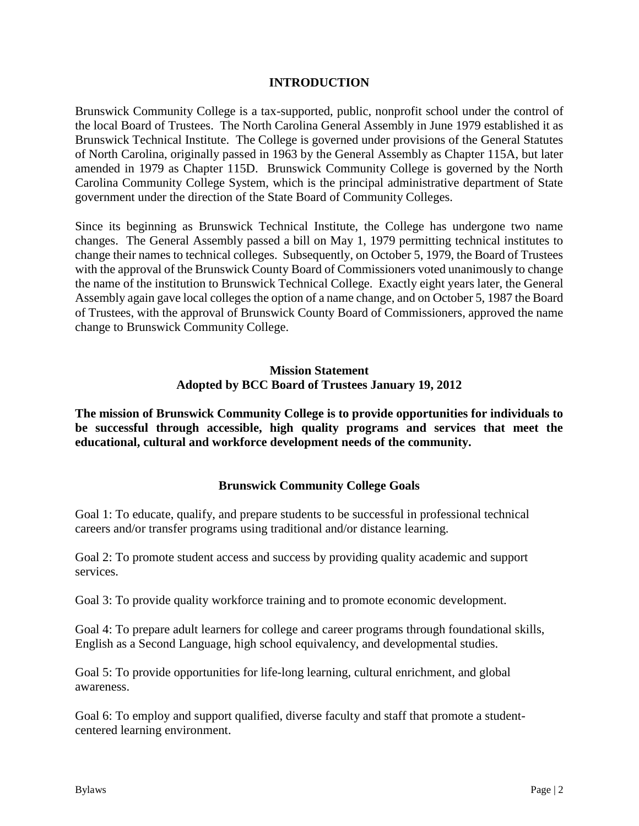### **INTRODUCTION**

Brunswick Community College is a tax-supported, public, nonprofit school under the control of the local Board of Trustees. The North Carolina General Assembly in June 1979 established it as Brunswick Technical Institute. The College is governed under provisions of the General Statutes of North Carolina, originally passed in 1963 by the General Assembly as Chapter 115A, but later amended in 1979 as Chapter 115D. Brunswick Community College is governed by the North Carolina Community College System, which is the principal administrative department of State government under the direction of the State Board of Community Colleges.

Since its beginning as Brunswick Technical Institute, the College has undergone two name changes. The General Assembly passed a bill on May 1, 1979 permitting technical institutes to change their names to technical colleges. Subsequently, on October 5, 1979, the Board of Trustees with the approval of the Brunswick County Board of Commissioners voted unanimously to change the name of the institution to Brunswick Technical College. Exactly eight years later, the General Assembly again gave local colleges the option of a name change, and on October 5, 1987 the Board of Trustees, with the approval of Brunswick County Board of Commissioners, approved the name change to Brunswick Community College.

### **Mission Statement Adopted by BCC Board of Trustees January 19, 2012**

**The mission of Brunswick Community College is to provide opportunities for individuals to be successful through accessible, high quality programs and services that meet the educational, cultural and workforce development needs of the community.**

# **Brunswick Community College Goals**

Goal 1: To educate, qualify, and prepare students to be successful in professional technical careers and/or transfer programs using traditional and/or distance learning.

Goal 2: To promote student access and success by providing quality academic and support services.

Goal 3: To provide quality workforce training and to promote economic development.

Goal 4: To prepare adult learners for college and career programs through foundational skills, English as a Second Language, high school equivalency, and developmental studies.

Goal 5: To provide opportunities for life-long learning, cultural enrichment, and global awareness.

Goal 6: To employ and support qualified, diverse faculty and staff that promote a studentcentered learning environment.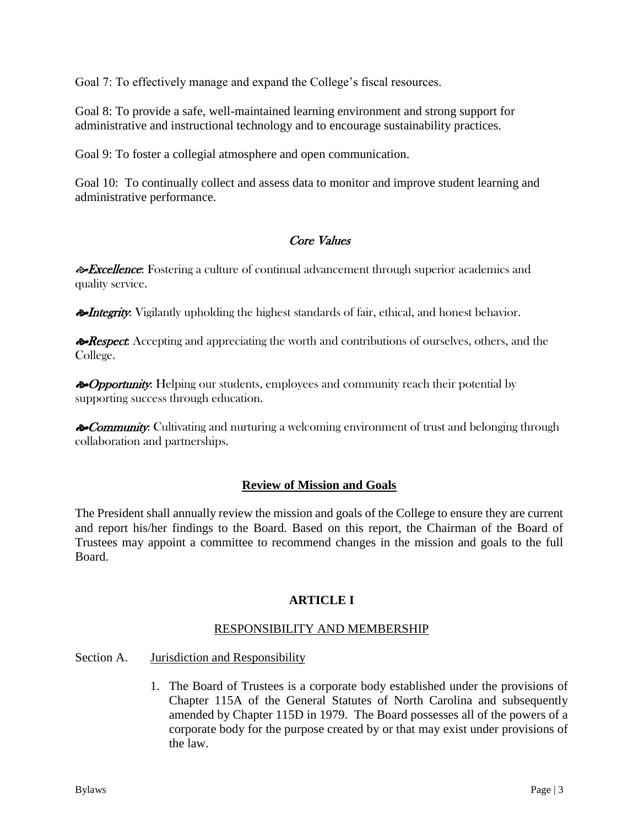Goal 7: To effectively manage and expand the College's fiscal resources.

Goal 8: To provide a safe, well-maintained learning environment and strong support for administrative and instructional technology and to encourage sustainability practices.

Goal 9: To foster a collegial atmosphere and open communication.

Goal 10: To continually collect and assess data to monitor and improve student learning and administrative performance.

# Core Values

**Excellence:** Fostering a culture of continual advancement through superior academics and quality service.

**Integrity:** Vigilantly upholding the highest standards of fair, ethical, and honest behavior.

**Example 2** Respect: Accepting and appreciating the worth and contributions of ourselves, others, and the College.

 $\diamond$  Opportunity: Helping our students, employees and community reach their potential by supporting success through education.

**Example 3** Community: Cultivating and nurturing a welcoming environment of trust and belonging through collaboration and partnerships.

# **Review of Mission and Goals**

The President shall annually review the mission and goals of the College to ensure they are current and report his/her findings to the Board. Based on this report, the Chairman of the Board of Trustees may appoint a committee to recommend changes in the mission and goals to the full Board.

# **ARTICLE I**

# RESPONSIBILITY AND MEMBERSHIP

- Section A. Jurisdiction and Responsibility
	- 1. The Board of Trustees is a corporate body established under the provisions of Chapter 115A of the General Statutes of North Carolina and subsequently amended by Chapter 115D in 1979. The Board possesses all of the powers of a corporate body for the purpose created by or that may exist under provisions of the law.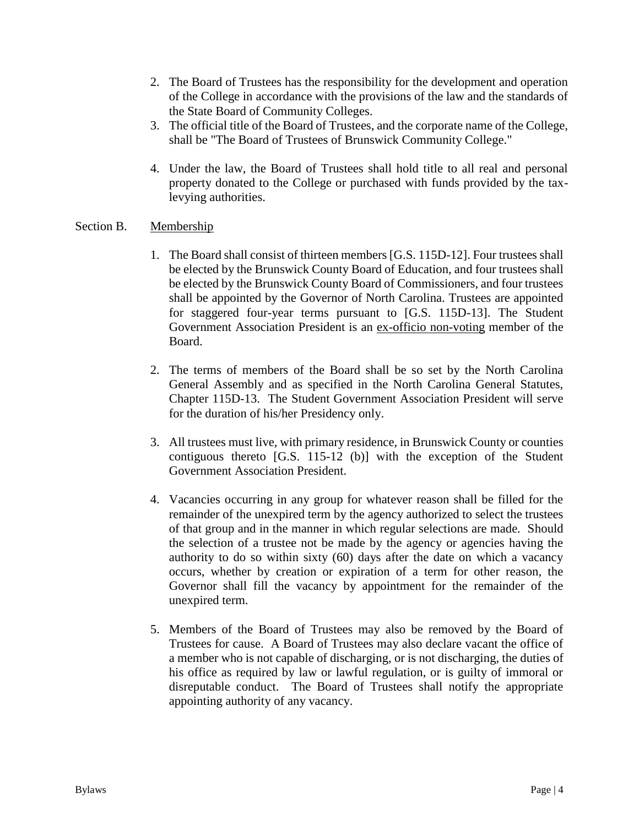- 2. The Board of Trustees has the responsibility for the development and operation of the College in accordance with the provisions of the law and the standards of the State Board of Community Colleges.
- 3. The official title of the Board of Trustees, and the corporate name of the College, shall be "The Board of Trustees of Brunswick Community College."
- 4. Under the law, the Board of Trustees shall hold title to all real and personal property donated to the College or purchased with funds provided by the taxlevying authorities.

### Section B. Membership

- 1. The Board shall consist of thirteen members [G.S. 115D-12]. Four trustees shall be elected by the Brunswick County Board of Education, and four trustees shall be elected by the Brunswick County Board of Commissioners, and four trustees shall be appointed by the Governor of North Carolina. Trustees are appointed for staggered four-year terms pursuant to [G.S. 115D-13]. The Student Government Association President is an ex-officio non-voting member of the Board.
- 2. The terms of members of the Board shall be so set by the North Carolina General Assembly and as specified in the North Carolina General Statutes, Chapter 115D-13. The Student Government Association President will serve for the duration of his/her Presidency only.
- 3. All trustees must live, with primary residence, in Brunswick County or counties contiguous thereto [G.S. 115-12 (b)] with the exception of the Student Government Association President.
- 4. Vacancies occurring in any group for whatever reason shall be filled for the remainder of the unexpired term by the agency authorized to select the trustees of that group and in the manner in which regular selections are made. Should the selection of a trustee not be made by the agency or agencies having the authority to do so within sixty (60) days after the date on which a vacancy occurs, whether by creation or expiration of a term for other reason, the Governor shall fill the vacancy by appointment for the remainder of the unexpired term.
- 5. Members of the Board of Trustees may also be removed by the Board of Trustees for cause. A Board of Trustees may also declare vacant the office of a member who is not capable of discharging, or is not discharging, the duties of his office as required by law or lawful regulation, or is guilty of immoral or disreputable conduct. The Board of Trustees shall notify the appropriate appointing authority of any vacancy.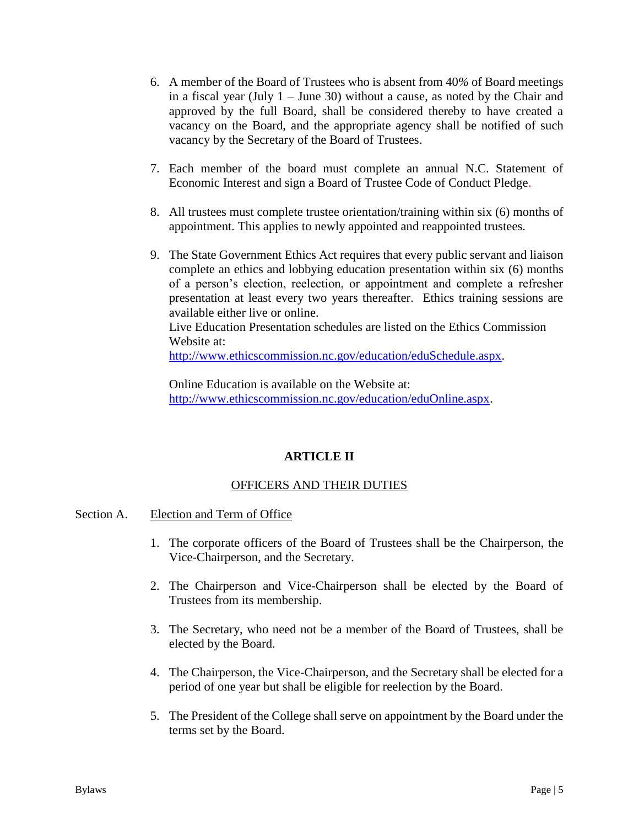- 6. A member of the Board of Trustees who is absent from 40*%* of Board meetings in a fiscal year (July  $1 -$  June 30) without a cause, as noted by the Chair and approved by the full Board, shall be considered thereby to have created a vacancy on the Board, and the appropriate agency shall be notified of such vacancy by the Secretary of the Board of Trustees.
- 7. Each member of the board must complete an annual N.C. Statement of Economic Interest and sign a Board of Trustee Code of Conduct Pledge.
- 8. All trustees must complete trustee orientation/training within six (6) months of appointment. This applies to newly appointed and reappointed trustees.
- 9. The State Government Ethics Act requires that every public servant and liaison complete an ethics and lobbying education presentation within six (6) months of a person's election, reelection, or appointment and complete a refresher presentation at least every two years thereafter. Ethics training sessions are available either live or online.

Live Education Presentation schedules are listed on the Ethics Commission Website at:

[http://www.ethicscommission.nc.gov/education/eduSchedule.aspx.](http://www.ethicscommission.nc.gov/education/eduSchedule.aspx)

Online Education is available on the Website at: [http://www.ethicscommission.nc.gov/education/eduOnline.aspx.](http://www.ethicscommission.nc.gov/education/eduOnline.aspx)

# **ARTICLE II**

# OFFICERS AND THEIR DUTIES

### Section A. Election and Term of Office

- 1. The corporate officers of the Board of Trustees shall be the Chairperson, the Vice-Chairperson, and the Secretary.
- 2. The Chairperson and Vice-Chairperson shall be elected by the Board of Trustees from its membership.
- 3. The Secretary, who need not be a member of the Board of Trustees, shall be elected by the Board.
- 4. The Chairperson, the Vice-Chairperson, and the Secretary shall be elected for a period of one year but shall be eligible for reelection by the Board.
- 5. The President of the College shall serve on appointment by the Board under the terms set by the Board.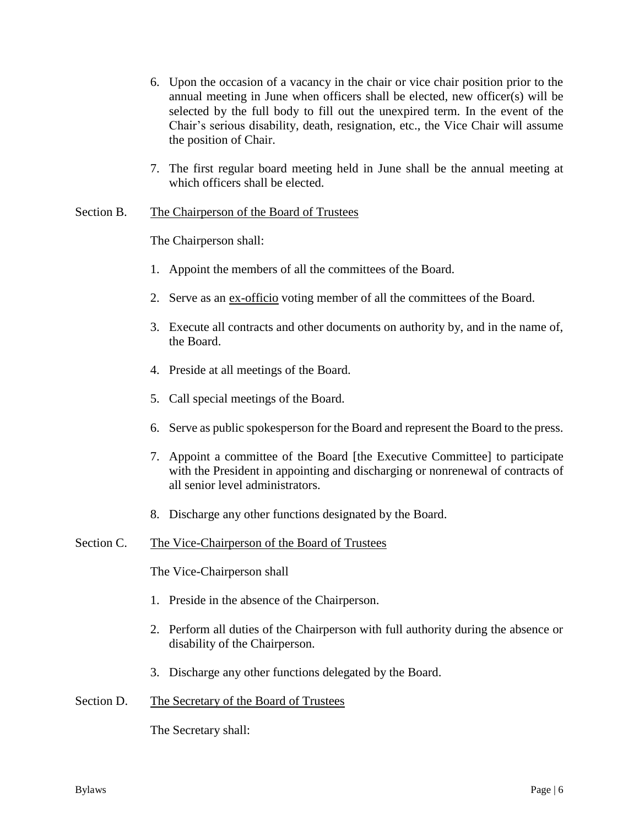- 6. Upon the occasion of a vacancy in the chair or vice chair position prior to the annual meeting in June when officers shall be elected, new officer(s) will be selected by the full body to fill out the unexpired term. In the event of the Chair's serious disability, death, resignation, etc., the Vice Chair will assume the position of Chair.
- 7. The first regular board meeting held in June shall be the annual meeting at which officers shall be elected.

### Section B. The Chairperson of the Board of Trustees

The Chairperson shall:

- 1. Appoint the members of all the committees of the Board.
- 2. Serve as an ex-officio voting member of all the committees of the Board.
- 3. Execute all contracts and other documents on authority by, and in the name of, the Board.
- 4. Preside at all meetings of the Board.
- 5. Call special meetings of the Board.
- 6. Serve as public spokesperson for the Board and represent the Board to the press.
- 7. Appoint a committee of the Board [the Executive Committee] to participate with the President in appointing and discharging or nonrenewal of contracts of all senior level administrators.
- 8. Discharge any other functions designated by the Board.

### Section C. The Vice-Chairperson of the Board of Trustees

The Vice-Chairperson shall

- 1. Preside in the absence of the Chairperson.
- 2. Perform all duties of the Chairperson with full authority during the absence or disability of the Chairperson.
- 3. Discharge any other functions delegated by the Board.

### Section D. The Secretary of the Board of Trustees

The Secretary shall: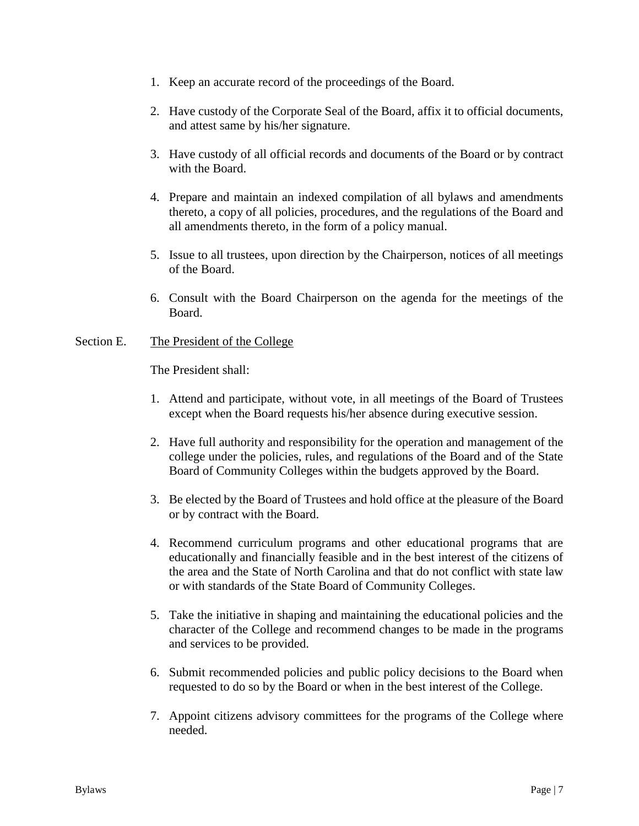- 1. Keep an accurate record of the proceedings of the Board.
- 2. Have custody of the Corporate Seal of the Board, affix it to official documents, and attest same by his/her signature.
- 3. Have custody of all official records and documents of the Board or by contract with the Board.
- 4. Prepare and maintain an indexed compilation of all bylaws and amendments thereto, a copy of all policies, procedures, and the regulations of the Board and all amendments thereto, in the form of a policy manual.
- 5. Issue to all trustees, upon direction by the Chairperson, notices of all meetings of the Board.
- 6. Consult with the Board Chairperson on the agenda for the meetings of the Board.

### Section E. The President of the College

The President shall:

- 1. Attend and participate, without vote, in all meetings of the Board of Trustees except when the Board requests his/her absence during executive session.
- 2. Have full authority and responsibility for the operation and management of the college under the policies, rules, and regulations of the Board and of the State Board of Community Colleges within the budgets approved by the Board.
- 3. Be elected by the Board of Trustees and hold office at the pleasure of the Board or by contract with the Board.
- 4. Recommend curriculum programs and other educational programs that are educationally and financially feasible and in the best interest of the citizens of the area and the State of North Carolina and that do not conflict with state law or with standards of the State Board of Community Colleges.
- 5. Take the initiative in shaping and maintaining the educational policies and the character of the College and recommend changes to be made in the programs and services to be provided.
- 6. Submit recommended policies and public policy decisions to the Board when requested to do so by the Board or when in the best interest of the College.
- 7. Appoint citizens advisory committees for the programs of the College where needed.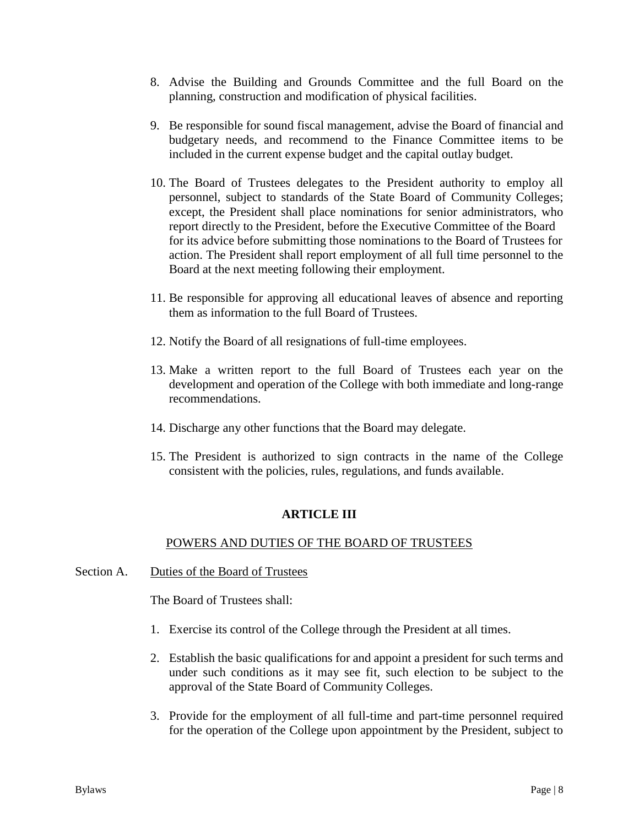- 8. Advise the Building and Grounds Committee and the full Board on the planning, construction and modification of physical facilities.
- 9. Be responsible for sound fiscal management, advise the Board of financial and budgetary needs, and recommend to the Finance Committee items to be included in the current expense budget and the capital outlay budget.
- 10. The Board of Trustees delegates to the President authority to employ all personnel, subject to standards of the State Board of Community Colleges; except, the President shall place nominations for senior administrators, who report directly to the President, before the Executive Committee of the Board for its advice before submitting those nominations to the Board of Trustees for action. The President shall report employment of all full time personnel to the Board at the next meeting following their employment.
- 11. Be responsible for approving all educational leaves of absence and reporting them as information to the full Board of Trustees.
- 12. Notify the Board of all resignations of full-time employees.
- 13. Make a written report to the full Board of Trustees each year on the development and operation of the College with both immediate and long-range recommendations.
- 14. Discharge any other functions that the Board may delegate.
- 15. The President is authorized to sign contracts in the name of the College consistent with the policies, rules, regulations, and funds available.

# **ARTICLE III**

# POWERS AND DUTIES OF THE BOARD OF TRUSTEES

Section A. Duties of the Board of Trustees

The Board of Trustees shall:

- 1. Exercise its control of the College through the President at all times.
- 2. Establish the basic qualifications for and appoint a president for such terms and under such conditions as it may see fit, such election to be subject to the approval of the State Board of Community Colleges.
- 3. Provide for the employment of all full-time and part-time personnel required for the operation of the College upon appointment by the President, subject to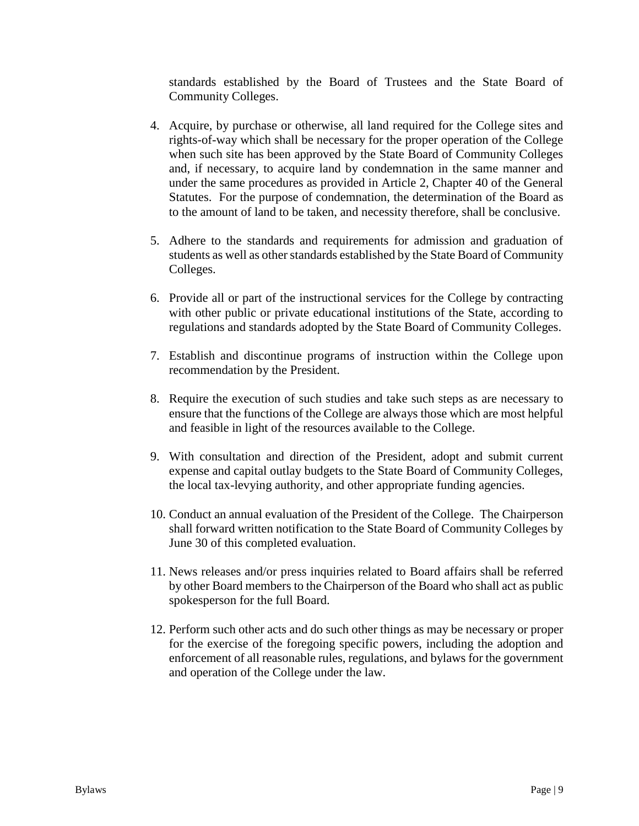standards established by the Board of Trustees and the State Board of Community Colleges.

- 4. Acquire, by purchase or otherwise, all land required for the College sites and rights-of-way which shall be necessary for the proper operation of the College when such site has been approved by the State Board of Community Colleges and, if necessary, to acquire land by condemnation in the same manner and under the same procedures as provided in Article 2, Chapter 40 of the General Statutes. For the purpose of condemnation, the determination of the Board as to the amount of land to be taken, and necessity therefore, shall be conclusive.
- 5. Adhere to the standards and requirements for admission and graduation of students as well as other standards established by the State Board of Community Colleges.
- 6. Provide all or part of the instructional services for the College by contracting with other public or private educational institutions of the State, according to regulations and standards adopted by the State Board of Community Colleges.
- 7. Establish and discontinue programs of instruction within the College upon recommendation by the President.
- 8. Require the execution of such studies and take such steps as are necessary to ensure that the functions of the College are always those which are most helpful and feasible in light of the resources available to the College.
- 9. With consultation and direction of the President, adopt and submit current expense and capital outlay budgets to the State Board of Community Colleges, the local tax-levying authority, and other appropriate funding agencies.
- 10. Conduct an annual evaluation of the President of the College. The Chairperson shall forward written notification to the State Board of Community Colleges by June 30 of this completed evaluation.
- 11. News releases and/or press inquiries related to Board affairs shall be referred by other Board members to the Chairperson of the Board who shall act as public spokesperson for the full Board.
- 12. Perform such other acts and do such other things as may be necessary or proper for the exercise of the foregoing specific powers, including the adoption and enforcement of all reasonable rules, regulations, and bylaws for the government and operation of the College under the law.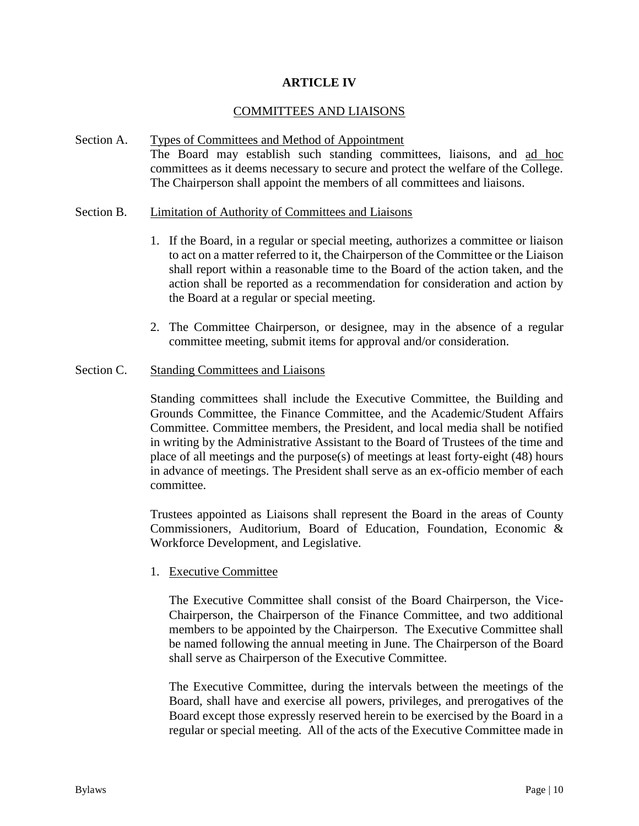### **ARTICLE IV**

### COMMITTEES AND LIAISONS

Section A. Types of Committees and Method of Appointment The Board may establish such standing committees, liaisons, and ad hoc committees as it deems necessary to secure and protect the welfare of the College. The Chairperson shall appoint the members of all committees and liaisons.

#### Section B. Limitation of Authority of Committees and Liaisons

- 1. If the Board, in a regular or special meeting, authorizes a committee or liaison to act on a matter referred to it, the Chairperson of the Committee or the Liaison shall report within a reasonable time to the Board of the action taken, and the action shall be reported as a recommendation for consideration and action by the Board at a regular or special meeting.
- 2. The Committee Chairperson, or designee, may in the absence of a regular committee meeting, submit items for approval and/or consideration.

#### Section C. Standing Committees and Liaisons

Standing committees shall include the Executive Committee, the Building and Grounds Committee, the Finance Committee, and the Academic/Student Affairs Committee. Committee members, the President, and local media shall be notified in writing by the Administrative Assistant to the Board of Trustees of the time and place of all meetings and the purpose(s) of meetings at least forty-eight (48) hours in advance of meetings. The President shall serve as an ex-officio member of each committee.

Trustees appointed as Liaisons shall represent the Board in the areas of County Commissioners, Auditorium, Board of Education, Foundation, Economic & Workforce Development, and Legislative.

### 1. Executive Committee

The Executive Committee shall consist of the Board Chairperson, the Vice-Chairperson, the Chairperson of the Finance Committee, and two additional members to be appointed by the Chairperson. The Executive Committee shall be named following the annual meeting in June. The Chairperson of the Board shall serve as Chairperson of the Executive Committee.

The Executive Committee, during the intervals between the meetings of the Board, shall have and exercise all powers, privileges, and prerogatives of the Board except those expressly reserved herein to be exercised by the Board in a regular or special meeting. All of the acts of the Executive Committee made in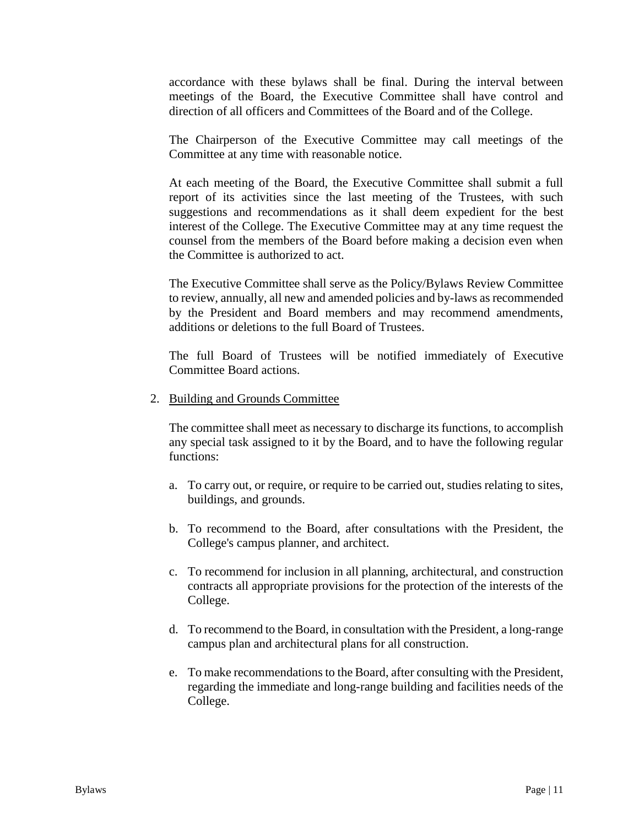accordance with these bylaws shall be final. During the interval between meetings of the Board, the Executive Committee shall have control and direction of all officers and Committees of the Board and of the College.

The Chairperson of the Executive Committee may call meetings of the Committee at any time with reasonable notice.

At each meeting of the Board, the Executive Committee shall submit a full report of its activities since the last meeting of the Trustees, with such suggestions and recommendations as it shall deem expedient for the best interest of the College. The Executive Committee may at any time request the counsel from the members of the Board before making a decision even when the Committee is authorized to act.

The Executive Committee shall serve as the Policy/Bylaws Review Committee to review, annually, all new and amended policies and by-laws as recommended by the President and Board members and may recommend amendments, additions or deletions to the full Board of Trustees.

The full Board of Trustees will be notified immediately of Executive Committee Board actions.

#### 2. Building and Grounds Committee

The committee shall meet as necessary to discharge its functions, to accomplish any special task assigned to it by the Board, and to have the following regular functions:

- a. To carry out, or require, or require to be carried out, studies relating to sites, buildings, and grounds.
- b. To recommend to the Board, after consultations with the President, the College's campus planner, and architect.
- c. To recommend for inclusion in all planning, architectural, and construction contracts all appropriate provisions for the protection of the interests of the College.
- d. To recommend to the Board, in consultation with the President, a long-range campus plan and architectural plans for all construction.
- e. To make recommendations to the Board, after consulting with the President, regarding the immediate and long-range building and facilities needs of the College.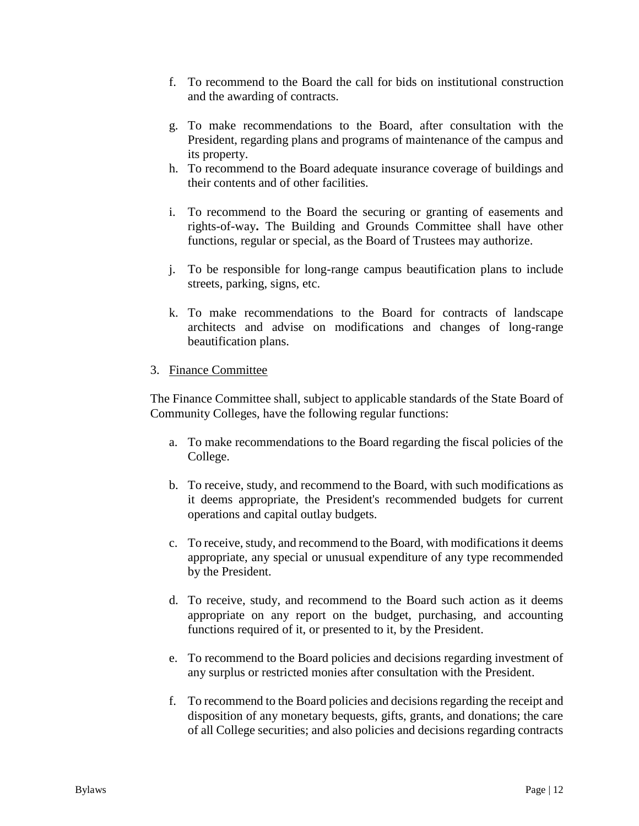- f. To recommend to the Board the call for bids on institutional construction and the awarding of contracts.
- g. To make recommendations to the Board, after consultation with the President, regarding plans and programs of maintenance of the campus and its property.
- h. To recommend to the Board adequate insurance coverage of buildings and their contents and of other facilities.
- i. To recommend to the Board the securing or granting of easements and rights-of-way**.** The Building and Grounds Committee shall have other functions, regular or special, as the Board of Trustees may authorize.
- j. To be responsible for long-range campus beautification plans to include streets, parking, signs, etc.
- k. To make recommendations to the Board for contracts of landscape architects and advise on modifications and changes of long-range beautification plans.

# 3. Finance Committee

The Finance Committee shall, subject to applicable standards of the State Board of Community Colleges, have the following regular functions:

- a. To make recommendations to the Board regarding the fiscal policies of the College.
- b. To receive, study, and recommend to the Board, with such modifications as it deems appropriate, the President's recommended budgets for current operations and capital outlay budgets.
- c. To receive, study, and recommend to the Board, with modifications it deems appropriate, any special or unusual expenditure of any type recommended by the President.
- d. To receive, study, and recommend to the Board such action as it deems appropriate on any report on the budget, purchasing, and accounting functions required of it, or presented to it, by the President.
- e. To recommend to the Board policies and decisions regarding investment of any surplus or restricted monies after consultation with the President.
- f. To recommend to the Board policies and decisions regarding the receipt and disposition of any monetary bequests, gifts, grants, and donations; the care of all College securities; and also policies and decisions regarding contracts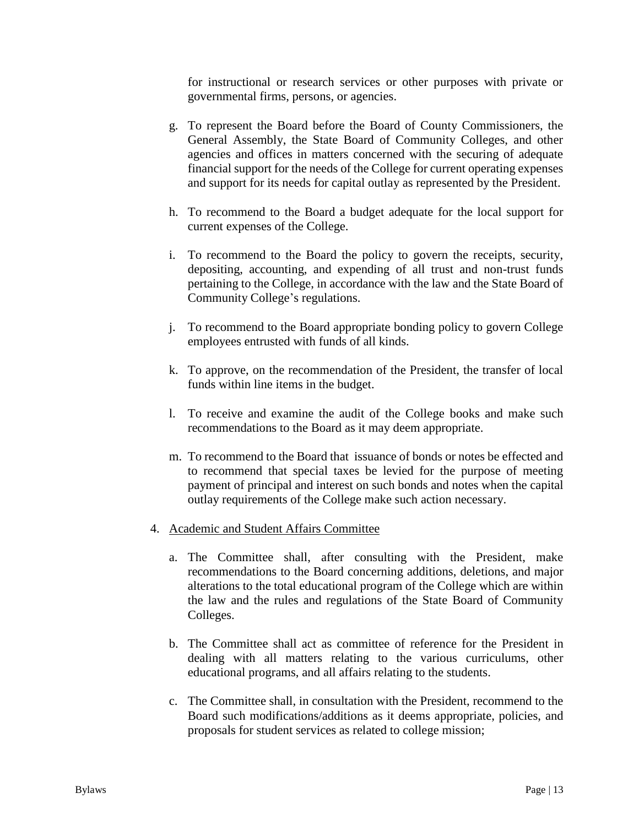for instructional or research services or other purposes with private or governmental firms, persons, or agencies.

- g. To represent the Board before the Board of County Commissioners, the General Assembly, the State Board of Community Colleges, and other agencies and offices in matters concerned with the securing of adequate financial support for the needs of the College for current operating expenses and support for its needs for capital outlay as represented by the President.
- h. To recommend to the Board a budget adequate for the local support for current expenses of the College.
- i. To recommend to the Board the policy to govern the receipts, security, depositing, accounting, and expending of all trust and non-trust funds pertaining to the College, in accordance with the law and the State Board of Community College's regulations.
- j. To recommend to the Board appropriate bonding policy to govern College employees entrusted with funds of all kinds.
- k. To approve, on the recommendation of the President, the transfer of local funds within line items in the budget.
- l. To receive and examine the audit of the College books and make such recommendations to the Board as it may deem appropriate.
- m. To recommend to the Board that issuance of bonds or notes be effected and to recommend that special taxes be levied for the purpose of meeting payment of principal and interest on such bonds and notes when the capital outlay requirements of the College make such action necessary.

### 4. Academic and Student Affairs Committee

- a. The Committee shall, after consulting with the President, make recommendations to the Board concerning additions, deletions, and major alterations to the total educational program of the College which are within the law and the rules and regulations of the State Board of Community Colleges.
- b. The Committee shall act as committee of reference for the President in dealing with all matters relating to the various curriculums, other educational programs, and all affairs relating to the students.
- c. The Committee shall, in consultation with the President, recommend to the Board such modifications/additions as it deems appropriate, policies, and proposals for student services as related to college mission;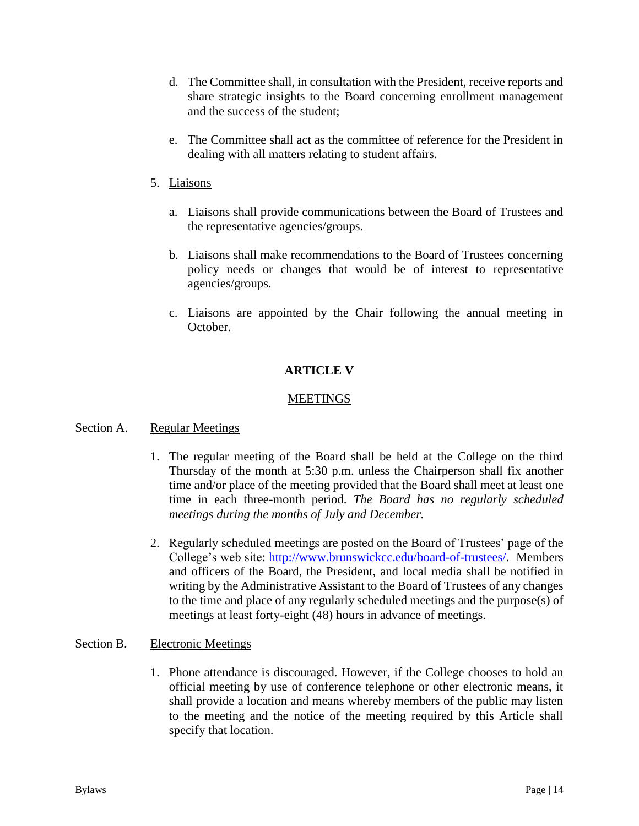- d. The Committee shall, in consultation with the President, receive reports and share strategic insights to the Board concerning enrollment management and the success of the student;
- e. The Committee shall act as the committee of reference for the President in dealing with all matters relating to student affairs.
- 5. Liaisons
	- a. Liaisons shall provide communications between the Board of Trustees and the representative agencies/groups.
	- b. Liaisons shall make recommendations to the Board of Trustees concerning policy needs or changes that would be of interest to representative agencies/groups.
	- c. Liaisons are appointed by the Chair following the annual meeting in October.

# **ARTICLE V**

### MEETINGS

### Section A. Regular Meetings

- 1. The regular meeting of the Board shall be held at the College on the third Thursday of the month at 5:30 p.m. unless the Chairperson shall fix another time and/or place of the meeting provided that the Board shall meet at least one time in each three-month period. *The Board has no regularly scheduled meetings during the months of July and December.*
- 2. Regularly scheduled meetings are posted on the Board of Trustees' page of the College's web site: [http://www.brunswickcc.edu/board-of-trustees/.](http://www.brunswickcc.edu/board-of-trustees/) Members and officers of the Board, the President, and local media shall be notified in writing by the Administrative Assistant to the Board of Trustees of any changes to the time and place of any regularly scheduled meetings and the purpose(s) of meetings at least forty-eight (48) hours in advance of meetings.

### Section B. Electronic Meetings

1. Phone attendance is discouraged. However, if the College chooses to hold an official meeting by use of conference telephone or other electronic means, it shall provide a location and means whereby members of the public may listen to the meeting and the notice of the meeting required by this Article shall specify that location.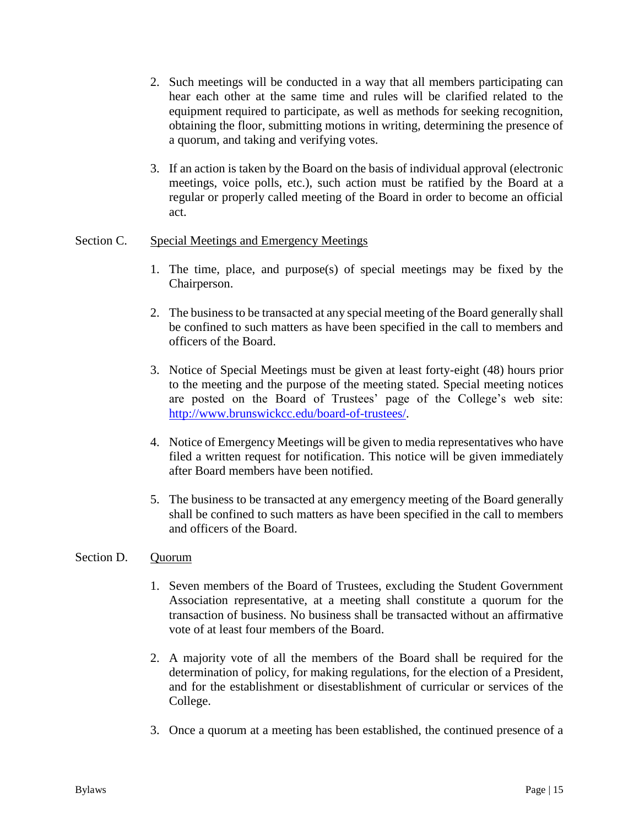- 2. Such meetings will be conducted in a way that all members participating can hear each other at the same time and rules will be clarified related to the equipment required to participate, as well as methods for seeking recognition, obtaining the floor, submitting motions in writing, determining the presence of a quorum, and taking and verifying votes.
- 3. If an action is taken by the Board on the basis of individual approval (electronic meetings, voice polls, etc.), such action must be ratified by the Board at a regular or properly called meeting of the Board in order to become an official act.

### Section C. Special Meetings and Emergency Meetings

- 1. The time, place, and purpose(s) of special meetings may be fixed by the Chairperson.
- 2. The business to be transacted at any special meeting of the Board generally shall be confined to such matters as have been specified in the call to members and officers of the Board.
- 3. Notice of Special Meetings must be given at least forty-eight (48) hours prior to the meeting and the purpose of the meeting stated. Special meeting notices are posted on the Board of Trustees' page of the College's web site: [http://www.brunswickcc.edu/board-of-trustees/.](http://www.brunswickcc.edu/board-of-trustees/)
- 4. Notice of Emergency Meetings will be given to media representatives who have filed a written request for notification. This notice will be given immediately after Board members have been notified.
- 5. The business to be transacted at any emergency meeting of the Board generally shall be confined to such matters as have been specified in the call to members and officers of the Board.

### Section D. Quorum

- 1. Seven members of the Board of Trustees, excluding the Student Government Association representative, at a meeting shall constitute a quorum for the transaction of business. No business shall be transacted without an affirmative vote of at least four members of the Board.
- 2. A majority vote of all the members of the Board shall be required for the determination of policy, for making regulations, for the election of a President, and for the establishment or disestablishment of curricular or services of the College.
- 3. Once a quorum at a meeting has been established, the continued presence of a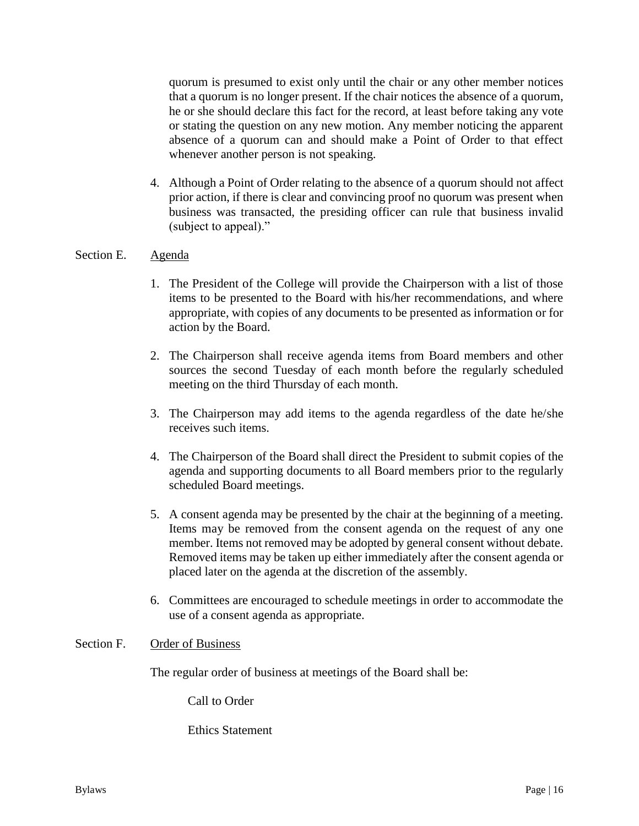quorum is presumed to exist only until the chair or any other member notices that a quorum is no longer present. If the chair notices the absence of a quorum, he or she should declare this fact for the record, at least before taking any vote or stating the question on any new motion. Any member noticing the apparent absence of a quorum can and should make a Point of Order to that effect whenever another person is not speaking.

4. Although a Point of Order relating to the absence of a quorum should not affect prior action, if there is clear and convincing proof no quorum was present when business was transacted, the presiding officer can rule that business invalid (subject to appeal)."

#### Section E. Agenda

- 1. The President of the College will provide the Chairperson with a list of those items to be presented to the Board with his/her recommendations, and where appropriate, with copies of any documents to be presented as information or for action by the Board.
- 2. The Chairperson shall receive agenda items from Board members and other sources the second Tuesday of each month before the regularly scheduled meeting on the third Thursday of each month.
- 3. The Chairperson may add items to the agenda regardless of the date he/she receives such items.
- 4. The Chairperson of the Board shall direct the President to submit copies of the agenda and supporting documents to all Board members prior to the regularly scheduled Board meetings.
- 5. A consent agenda may be presented by the chair at the beginning of a meeting. Items may be removed from the consent agenda on the request of any one member. Items not removed may be adopted by general consent without debate. Removed items may be taken up either immediately after the consent agenda or placed later on the agenda at the discretion of the assembly.
- 6. Committees are encouraged to schedule meetings in order to accommodate the use of a consent agenda as appropriate.

#### Section F. Order of Business

The regular order of business at meetings of the Board shall be:

Call to Order

Ethics Statement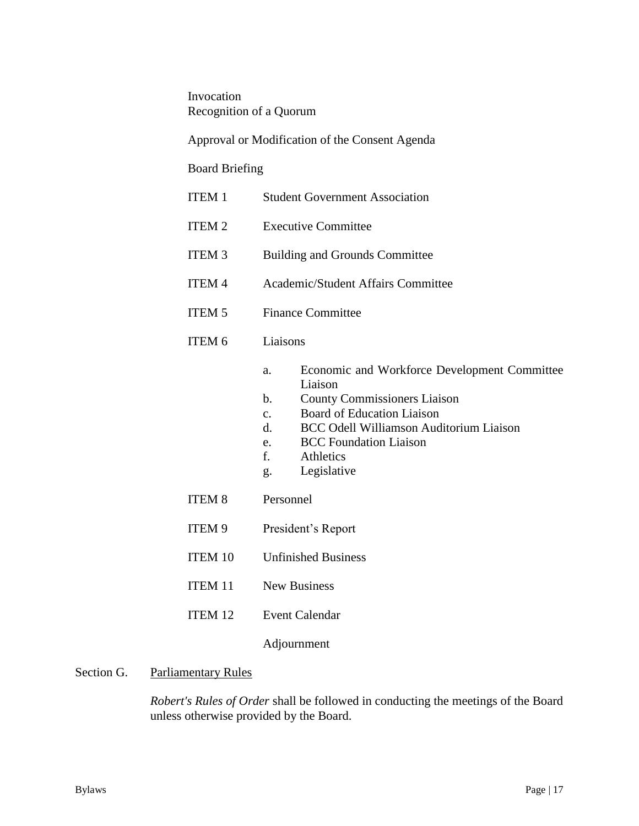Invocation Recognition of a Quorum

Approval or Modification of the Consent Agenda

# Board Briefing

| <b>ITEM 1</b>      | <b>Student Government Association</b>                                                                                                                                                                                                                                                                             |
|--------------------|-------------------------------------------------------------------------------------------------------------------------------------------------------------------------------------------------------------------------------------------------------------------------------------------------------------------|
| <b>ITEM 2</b>      | <b>Executive Committee</b>                                                                                                                                                                                                                                                                                        |
| <b>ITEM 3</b>      | <b>Building and Grounds Committee</b>                                                                                                                                                                                                                                                                             |
| <b>ITEM 4</b>      | Academic/Student Affairs Committee                                                                                                                                                                                                                                                                                |
| <b>ITEM 5</b>      | <b>Finance Committee</b>                                                                                                                                                                                                                                                                                          |
| ITEM 6             | Liaisons                                                                                                                                                                                                                                                                                                          |
|                    | Economic and Workforce Development Committee<br>a.<br>Liaison<br><b>County Commissioners Liaison</b><br>$h_{\cdot}$<br><b>Board of Education Liaison</b><br>$\mathbf{c}$ .<br><b>BCC Odell Williamson Auditorium Liaison</b><br>d.<br><b>BCC</b> Foundation Liaison<br>e.<br>f.<br>Athletics<br>Legislative<br>g. |
| <b>ITEM 8</b>      | Personnel                                                                                                                                                                                                                                                                                                         |
| ITEM 9             | President's Report                                                                                                                                                                                                                                                                                                |
| <b>ITEM 10</b>     | <b>Unfinished Business</b>                                                                                                                                                                                                                                                                                        |
| <b>ITEM 11</b>     | <b>New Business</b>                                                                                                                                                                                                                                                                                               |
| ITEM <sub>12</sub> | <b>Event Calendar</b>                                                                                                                                                                                                                                                                                             |
|                    | Adjournment                                                                                                                                                                                                                                                                                                       |
|                    |                                                                                                                                                                                                                                                                                                                   |

# Section G. Parliamentary Rules

*Robert's Rules of Order* shall be followed in conducting the meetings of the Board unless otherwise provided by the Board.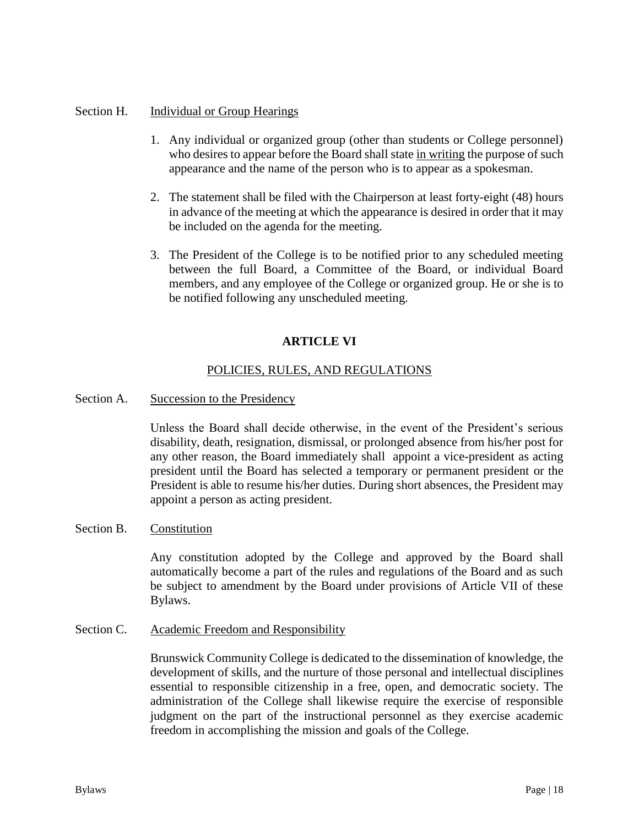### Section H. Individual or Group Hearings

- 1. Any individual or organized group (other than students or College personnel) who desires to appear before the Board shall state in writing the purpose of such appearance and the name of the person who is to appear as a spokesman.
- 2. The statement shall be filed with the Chairperson at least forty-eight (48) hours in advance of the meeting at which the appearance is desired in order that it may be included on the agenda for the meeting.
- 3. The President of the College is to be notified prior to any scheduled meeting between the full Board, a Committee of the Board, or individual Board members, and any employee of the College or organized group. He or she is to be notified following any unscheduled meeting.

# **ARTICLE VI**

### POLICIES, RULES, AND REGULATIONS

Section A. Succession to the Presidency

Unless the Board shall decide otherwise, in the event of the President's serious disability, death, resignation, dismissal, or prolonged absence from his/her post for any other reason, the Board immediately shall appoint a vice-president as acting president until the Board has selected a temporary or permanent president or the President is able to resume his/her duties. During short absences, the President may appoint a person as acting president.

### Section B. Constitution

Any constitution adopted by the College and approved by the Board shall automatically become a part of the rules and regulations of the Board and as such be subject to amendment by the Board under provisions of Article VII of these Bylaws.

Section C. Academic Freedom and Responsibility

Brunswick Community College is dedicated to the dissemination of knowledge, the development of skills, and the nurture of those personal and intellectual disciplines essential to responsible citizenship in a free, open, and democratic society. The administration of the College shall likewise require the exercise of responsible judgment on the part of the instructional personnel as they exercise academic freedom in accomplishing the mission and goals of the College.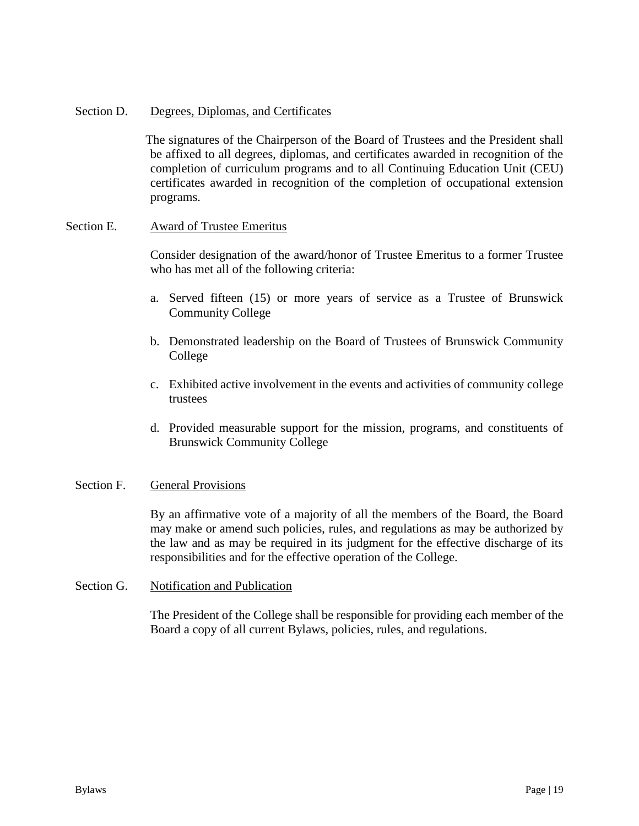#### Section D. Degrees, Diplomas, and Certificates

The signatures of the Chairperson of the Board of Trustees and the President shall be affixed to all degrees, diplomas, and certificates awarded in recognition of the completion of curriculum programs and to all Continuing Education Unit (CEU) certificates awarded in recognition of the completion of occupational extension programs.

#### Section E. Award of Trustee Emeritus

Consider designation of the award/honor of Trustee Emeritus to a former Trustee who has met all of the following criteria:

- a. Served fifteen (15) or more years of service as a Trustee of Brunswick Community College
- b. Demonstrated leadership on the Board of Trustees of Brunswick Community College
- c. Exhibited active involvement in the events and activities of community college trustees
- d. Provided measurable support for the mission, programs, and constituents of Brunswick Community College

#### Section F. General Provisions

By an affirmative vote of a majority of all the members of the Board, the Board may make or amend such policies, rules, and regulations as may be authorized by the law and as may be required in its judgment for the effective discharge of its responsibilities and for the effective operation of the College.

#### Section G. Notification and Publication

The President of the College shall be responsible for providing each member of the Board a copy of all current Bylaws, policies, rules, and regulations.